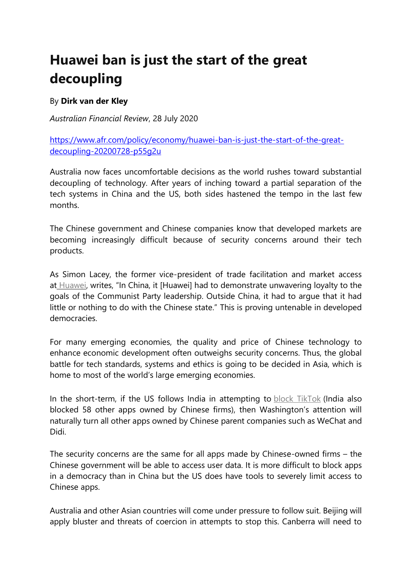## **Huawei ban is just the start of the great decoupling**

## By **Dirk van der Kley**

*Australian Financial Review*, 28 July 2020

[https://www.afr.com/policy/economy/huawei-ban-is-just-the-start-of-the-great](https://www.afr.com/policy/economy/huawei-ban-is-just-the-start-of-the-great-decoupling-20200728-p55g2u)[decoupling-20200728-p55g2u](https://www.afr.com/policy/economy/huawei-ban-is-just-the-start-of-the-great-decoupling-20200728-p55g2u)

Australia now faces uncomfortable decisions as the world rushes toward substantial decoupling of technology. After years of inching toward a partial separation of the tech systems in China and the US, both sides hastened the tempo in the last few months.

The Chinese government and Chinese companies know that developed markets are becoming increasingly difficult because of security concerns around their tech products.

As Simon Lacey, the former vice-president of trade facilitation and market access at [Huawei](https://www.afr.com/link/follow-20180101-p55fw9), writes, "In China, it [Huawei] had to demonstrate unwavering loyalty to the goals of the Communist Party leadership. Outside China, it had to argue that it had little or nothing to do with the Chinese state." This is proving untenable in developed democracies.

For many emerging economies, the quality and price of Chinese technology to enhance economic development often outweighs security concerns. Thus, the global battle for tech standards, systems and ethics is going to be decided in Asia, which is home to most of the world's large emerging economies.

In the short-term, if the US follows India in attempting to block [TikTok](https://www.afr.com/link/follow-20180101-p55csx) (India also blocked 58 other apps owned by Chinese firms), then Washington's attention will naturally turn all other apps owned by Chinese parent companies such as WeChat and Didi.

The security concerns are the same for all apps made by Chinese-owned firms – the Chinese government will be able to access user data. It is more difficult to block apps in a democracy than in China but the US does have tools to severely limit access to Chinese apps.

Australia and other Asian countries will come under pressure to follow suit. Beijing will apply bluster and threats of coercion in attempts to stop this. Canberra will need to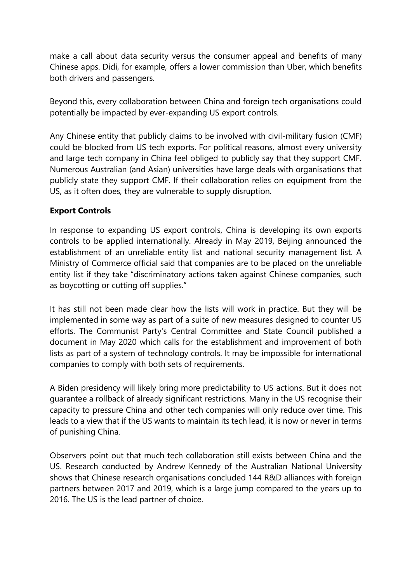make a call about data security versus the consumer appeal and benefits of many Chinese apps. Didi, for example, offers a lower commission than Uber, which benefits both drivers and passengers.

Beyond this, every collaboration between China and foreign tech organisations could potentially be impacted by ever-expanding US export controls.

Any Chinese entity that publicly claims to be involved with civil-military fusion (CMF) could be blocked from US tech exports. For political reasons, almost every university and large tech company in China feel obliged to publicly say that they support CMF. Numerous Australian (and Asian) universities have large deals with organisations that publicly state they support CMF. If their collaboration relies on equipment from the US, as it often does, they are vulnerable to supply disruption.

## **Export Controls**

In response to expanding US export controls, China is developing its own exports controls to be applied internationally. Already in May 2019, Beijing announced the establishment of an unreliable entity list and national security management list. A Ministry of Commerce official said that companies are to be placed on the unreliable entity list if they take "discriminatory actions taken against Chinese companies, such as boycotting or cutting off supplies."

It has still not been made clear how the lists will work in practice. But they will be implemented in some way as part of a suite of new measures designed to counter US efforts. The Communist Party's Central Committee and State Council published a document in May 2020 which calls for the establishment and improvement of both lists as part of a system of technology controls. It may be impossible for international companies to comply with both sets of requirements.

A Biden presidency will likely bring more predictability to US actions. But it does not guarantee a rollback of already significant restrictions. Many in the US recognise their capacity to pressure China and other tech companies will only reduce over time. This leads to a view that if the US wants to maintain its tech lead, it is now or never in terms of punishing China.

Observers point out that much tech collaboration still exists between China and the US. Research conducted by Andrew Kennedy of the Australian National University shows that Chinese research organisations concluded 144 R&D alliances with foreign partners between 2017 and 2019, which is a large jump compared to the years up to 2016. The US is the lead partner of choice.